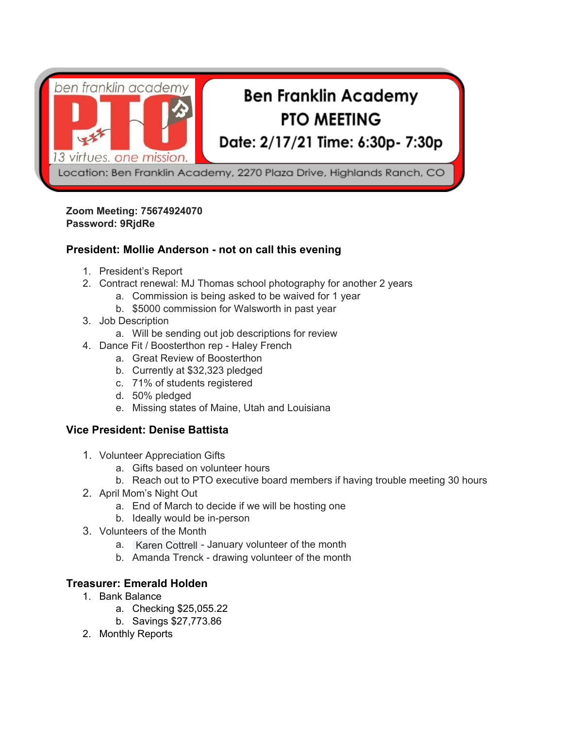

#### **Zoom Meeting: 75674924070 Password: 9RjdRe**

### **President: Mollie Anderson - not on call this evening**

- 1. President's Report
- 2. Contract renewal: MJ Thomas school photography for another 2 years
	- a. Commission is being asked to be waived for 1 year
	- b. \$5000 commission for Walsworth in past year
- 3. Job Description
	- a. Will be sending out job descriptions for review
- 4. Dance Fit / Boosterthon rep Haley French
	- a. Great Review of Boosterthon
	- b. Currently at \$32,323 pledged
	- c. 71% of students registered
	- d. 50% pledged
	- e. Missing states of Maine, Utah and Louisiana

# **Vice President: Denise Battista**

- 1. Volunteer Appreciation Gifts
	- a. Gifts based on volunteer hours
	- b. Reach out to PTO executive board members if having trouble meeting 30 hours
- 2. April Mom's Night Out
	- a. End of March to decide if we will be hosting one
	- b. Ideally would be in-person
- 3. Volunteers of the Month
	- a. Karen Cottrell January volunteer of the month
	- b. Amanda Trenck drawing volunteer of the month

# **Treasurer: Emerald Holden**

- 1. Bank Balance
	- a. Checking \$25,055.22
	- b. Savings \$27,773.86
- 2. Monthly Reports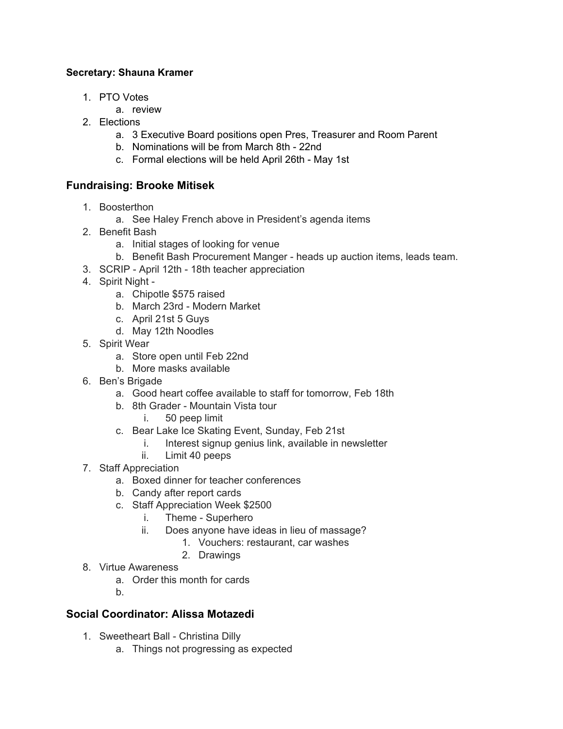#### **Secretary: Shauna Kramer**

- 1. PTO Votes
	- a. review
- 2. Elections
	- a. 3 Executive Board positions open Pres, Treasurer and Room Parent
	- b. Nominations will be from March 8th 22nd
	- c. Formal elections will be held April 26th May 1st

### **Fundraising: Brooke Mitisek**

- 1. Boosterthon
	- a. See Haley French above in President's agenda items
- 2. Benefit Bash
	- a. Initial stages of looking for venue
	- b. Benefit Bash Procurement Manger heads up auction items, leads team.
- 3. SCRIP April 12th 18th teacher appreciation
- 4. Spirit Night
	- a. Chipotle \$575 raised
	- b. March 23rd Modern Market
	- c. April 21st 5 Guys
	- d. May 12th Noodles
- 5. Spirit Wear
	- a. Store open until Feb 22nd
	- b. More masks available
- 6. Ben's Brigade
	- a. Good heart coffee available to staff for tomorrow, Feb 18th
	- b. 8th Grader Mountain Vista tour
		- i. 50 peep limit
	- c. Bear Lake Ice Skating Event, Sunday, Feb 21st
		- i. Interest signup genius link, available in newsletter
		- ii. Limit 40 peeps
- 7. Staff Appreciation
	- a. Boxed dinner for teacher conferences
	- b. Candy after report cards
	- c. Staff Appreciation Week \$2500
		- i. Theme Superhero
		- ii. Does anyone have ideas in lieu of massage?
			- 1. Vouchers: restaurant, car washes
			- 2. Drawings
- 8. Virtue Awareness
	- a. Order this month for cards
	- b.

# **Social Coordinator: Alissa Motazedi**

- 1. Sweetheart Ball Christina Dilly
	- a. Things not progressing as expected